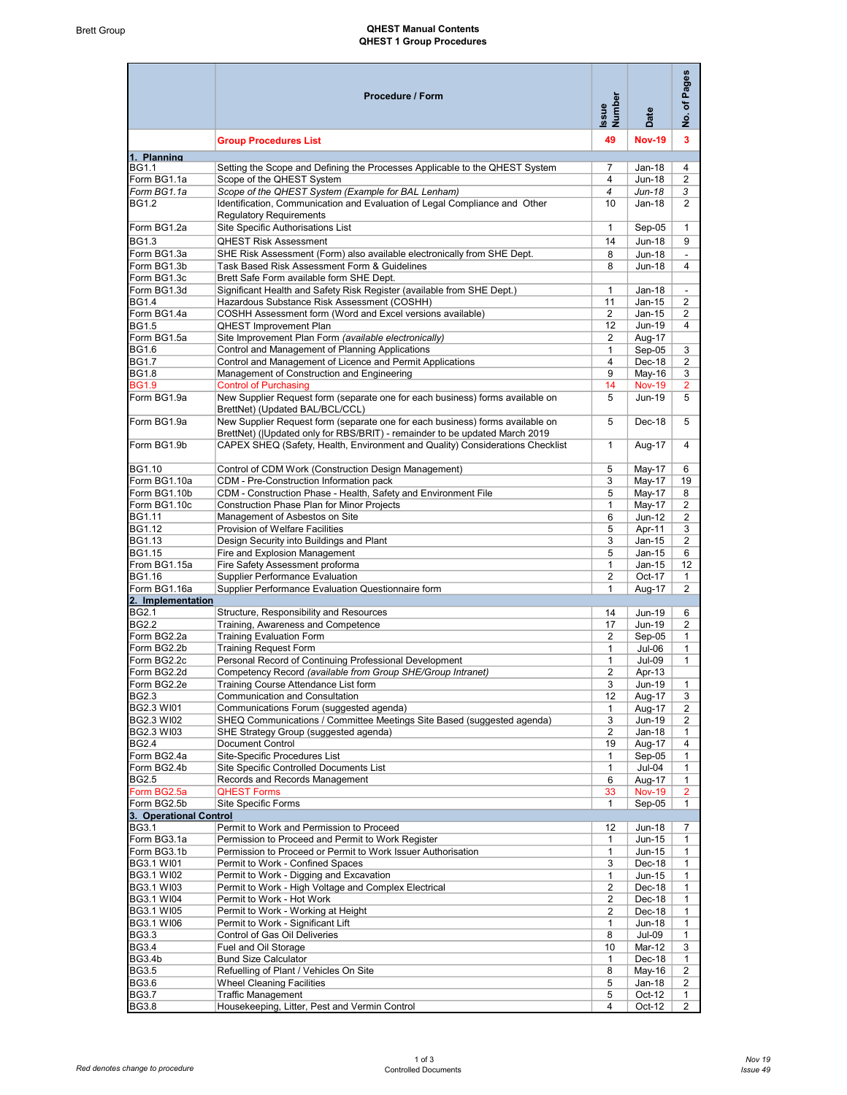## Brett Group **CHEST Manual Contents** QHEST 1 Group Procedures

|                                       | Procedure / Form                                                                                                                                                                                | Issue<br>Number | Date          | Pages<br>৳<br>$\frac{\dot{\mathsf{o}}}{\mathsf{z}}$ |
|---------------------------------------|-------------------------------------------------------------------------------------------------------------------------------------------------------------------------------------------------|-----------------|---------------|-----------------------------------------------------|
|                                       | <b>Group Procedures List</b>                                                                                                                                                                    | 49              | <b>Nov-19</b> | 3                                                   |
| 1. Planning<br><b>BG1.1</b>           | Setting the Scope and Defining the Processes Applicable to the QHEST System                                                                                                                     | 7               | Jan-18        | 4                                                   |
| Form BG1.1a                           | Scope of the QHEST System                                                                                                                                                                       | 4               | <b>Jun-18</b> | 2                                                   |
| Form BG1.1a                           | Scope of the QHEST System (Example for BAL Lenham)                                                                                                                                              | 4               | Jun-18        | 3                                                   |
| <b>BG1.2</b>                          | Identification, Communication and Evaluation of Legal Compliance and Other                                                                                                                      | 10              | Jan-18        | $\overline{2}$                                      |
|                                       | <b>Regulatory Requirements</b>                                                                                                                                                                  |                 |               |                                                     |
| Form BG1.2a                           | Site Specific Authorisations List                                                                                                                                                               | $\mathbf{1}$    | Sep-05        | $\mathbf{1}$                                        |
| <b>BG1.3</b>                          | <b>QHEST Risk Assessment</b>                                                                                                                                                                    | 14              | Jun-18        | 9                                                   |
| Form BG1.3a                           | SHE Risk Assessment (Form) also available electronically from SHE Dept.                                                                                                                         | 8               | <b>Jun-18</b> |                                                     |
| Form BG1.3b                           | Task Based Risk Assessment Form & Guidelines                                                                                                                                                    | 8               | <b>Jun-18</b> | $\overline{4}$                                      |
| Form BG1.3c                           | Brett Safe Form available form SHE Dept.                                                                                                                                                        |                 |               |                                                     |
| Form BG1.3d                           | Significant Health and Safety Risk Register (available from SHE Dept.)                                                                                                                          | $\mathbf{1}$    | Jan-18        | $\blacksquare$                                      |
| <b>BG1.4</b>                          | Hazardous Substance Risk Assessment (COSHH)                                                                                                                                                     | 11              | $Jan-15$      | $\overline{c}$                                      |
| Form BG1.4a                           | COSHH Assessment form (Word and Excel versions available)                                                                                                                                       | $\overline{c}$  | Jan-15        | $\overline{2}$                                      |
| <b>BG1.5</b>                          | <b>QHEST Improvement Plan</b>                                                                                                                                                                   | 12              | <b>Jun-19</b> | 4                                                   |
| Form BG1.5a                           | Site Improvement Plan Form (available electronically)                                                                                                                                           | $\overline{2}$  | Aug-17        |                                                     |
| <b>BG1.6</b>                          | Control and Management of Planning Applications                                                                                                                                                 | $\mathbf{1}$    | Sep-05        | 3                                                   |
| <b>BG1.7</b>                          | Control and Management of Licence and Permit Applications                                                                                                                                       | 4               | Dec-18        | $\overline{2}$                                      |
| <b>BG1.8</b>                          | Management of Construction and Engineering                                                                                                                                                      | 9               | May-16        | 3                                                   |
| <b>BG1.9</b>                          | <b>Control of Purchasing</b>                                                                                                                                                                    | 14              | <b>Nov-19</b> | $\overline{2}$                                      |
| Form BG1.9a                           | New Supplier Request form (separate one for each business) forms available on                                                                                                                   | 5               | Jun-19        | 5                                                   |
| Form BG1.9a                           | BrettNet) (Updated BAL/BCL/CCL)<br>New Supplier Request form (separate one for each business) forms available on<br>BrettNet) ( Updated only for RBS/BRIT) - remainder to be updated March 2019 | 5               | Dec-18        | 5                                                   |
| Form BG1.9b                           | CAPEX SHEQ (Safety, Health, Environment and Quality) Considerations Checklist                                                                                                                   | $\mathbf{1}$    | Aug-17        | 4                                                   |
| BG1.10                                | Control of CDM Work (Construction Design Management)                                                                                                                                            | 5               | May-17        | 6                                                   |
| Form BG1.10a                          | CDM - Pre-Construction Information pack                                                                                                                                                         | 3               | May-17        | 19                                                  |
| Form BG1.10b                          | CDM - Construction Phase - Health, Safety and Environment File                                                                                                                                  | 5               | May-17        | 8                                                   |
| Form BG1.10c                          | Construction Phase Plan for Minor Projects                                                                                                                                                      | 1               | May-17        | $\overline{c}$                                      |
| <b>BG1.11</b>                         | Management of Asbestos on Site                                                                                                                                                                  | 6               | Jun-12        | $\overline{2}$                                      |
| BG1.12                                | Provision of Welfare Facilities                                                                                                                                                                 | 5               | Apr-11        | 3                                                   |
| <b>BG1.13</b>                         | Design Security into Buildings and Plant                                                                                                                                                        | 3               | $Jan-15$      | 2                                                   |
| <b>BG1.15</b>                         | Fire and Explosion Management                                                                                                                                                                   | 5               | Jan-15        | 6                                                   |
| From BG1.15a                          | Fire Safety Assessment proforma                                                                                                                                                                 | $\mathbf{1}$    | Jan-15        | 12                                                  |
| <b>BG1.16</b>                         | <b>Supplier Performance Evaluation</b>                                                                                                                                                          | 2               | Oct-17        | $\mathbf{1}$                                        |
| Form BG1.16a                          | Supplier Performance Evaluation Questionnaire form                                                                                                                                              | $\mathbf{1}$    | Aug-17        | $\overline{2}$                                      |
| 2. Implementation                     |                                                                                                                                                                                                 |                 |               |                                                     |
| <b>BG2.1</b>                          | Structure, Responsibility and Resources                                                                                                                                                         | 14              | Jun-19        | 6                                                   |
| <b>BG2.2</b>                          | Training, Awareness and Competence                                                                                                                                                              | 17              | Jun-19        | $\overline{2}$                                      |
| Form BG2.2a                           | <b>Training Evaluation Form</b>                                                                                                                                                                 | $\overline{2}$  | Sep-05        | $\mathbf{1}$                                        |
| Form BG2.2b                           | <b>Training Request Form</b>                                                                                                                                                                    | $\mathbf{1}$    | Jul-06        | $\mathbf{1}$                                        |
| Form BG2.2c                           | Personal Record of Continuing Professional Development                                                                                                                                          | $\mathbf{1}$    | <b>Jul-09</b> | $\mathbf{1}$                                        |
| Form BG2.2d                           | Competency Record (available from Group SHE/Group Intranet)                                                                                                                                     | $\overline{2}$  | Apr-13        |                                                     |
| Form BG2.2e                           | Training Course Attendance List form                                                                                                                                                            | 3               | Jun-19        | 1                                                   |
| <b>BG2.3</b>                          | <b>Communication and Consultation</b>                                                                                                                                                           | 12              | Aug-17        | 3                                                   |
| BG2.3 WI01                            | Communications Forum (suggested agenda)                                                                                                                                                         | $\mathbf{1}$    | Aug-17        | $\overline{2}$                                      |
| BG2.3 WI02                            | SHEQ Communications / Committee Meetings Site Based (suggested agenda)                                                                                                                          | 3               | Jun-19        | $\overline{2}$                                      |
| <b>BG2.3 WI03</b>                     | SHE Strategy Group (suggested agenda)                                                                                                                                                           | 2               | Jan-18        | $\mathbf{1}$                                        |
| <b>BG2.4</b>                          | Document Control                                                                                                                                                                                | 19              | Aug-17        | 4                                                   |
| Form BG2.4a                           | Site-Specific Procedures List                                                                                                                                                                   | $\mathbf{1}$    | Sep-05        | $\mathbf{1}$                                        |
| Form BG2.4b                           | Site Specific Controlled Documents List                                                                                                                                                         | $\mathbf{1}$    | Jul-04        | $\mathbf{1}$                                        |
| <b>BG2.5</b>                          | Records and Records Management                                                                                                                                                                  | 6               | Aug-17        | $\mathbf{1}$                                        |
| Form BG2.5a                           | <b>QHEST Forms</b>                                                                                                                                                                              | 33              | <b>Nov-19</b> | $\overline{2}$                                      |
| Form BG2.5b<br>3. Operational Control | Site Specific Forms                                                                                                                                                                             | $\mathbf{1}$    | Sep-05        | $\mathbf{1}$                                        |
| <b>BG3.1</b>                          | Permit to Work and Permission to Proceed                                                                                                                                                        | 12              | Jun-18        | 7                                                   |
| Form BG3.1a                           | Permission to Proceed and Permit to Work Register                                                                                                                                               | $\mathbf{1}$    | $Jun-15$      | $\mathbf{1}$                                        |
| Form BG3.1b                           | Permission to Proceed or Permit to Work Issuer Authorisation                                                                                                                                    | $\mathbf{1}$    | $Jun-15$      | $\mathbf{1}$                                        |
| <b>BG3.1 WI01</b>                     | Permit to Work - Confined Spaces                                                                                                                                                                | 3               | Dec-18        | $\mathbf{1}$                                        |
| BG3.1 WI02                            | Permit to Work - Digging and Excavation                                                                                                                                                         | $\mathbf{1}$    | $Jun-15$      | $\mathbf{1}$                                        |
| BG3.1 WI03                            | Permit to Work - High Voltage and Complex Electrical                                                                                                                                            | 2               | Dec-18        | 1                                                   |
| BG3.1 WI04                            | Permit to Work - Hot Work                                                                                                                                                                       | $\overline{2}$  | Dec-18        | 1                                                   |
| <b>BG3.1 WI05</b>                     | Permit to Work - Working at Height                                                                                                                                                              | $\overline{2}$  | Dec-18        | $\mathbf{1}$                                        |
| BG3.1 WI06                            | Permit to Work - Significant Lift                                                                                                                                                               | $\mathbf{1}$    | <b>Jun-18</b> | $\mathbf{1}$                                        |
| <b>BG3.3</b>                          | Control of Gas Oil Deliveries                                                                                                                                                                   | 8               | <b>Jul-09</b> | $\mathbf{1}$                                        |
| <b>BG3.4</b>                          | Fuel and Oil Storage                                                                                                                                                                            | 10              | Mar-12        | 3                                                   |
| <b>BG3.4b</b>                         | <b>Bund Size Calculator</b>                                                                                                                                                                     | $\mathbf{1}$    | Dec-18        | $\mathbf{1}$                                        |
| <b>BG3.5</b>                          | Refuelling of Plant / Vehicles On Site                                                                                                                                                          | 8               | May-16        | 2                                                   |
| <b>BG3.6</b>                          | <b>Wheel Cleaning Facilities</b>                                                                                                                                                                | 5               | Jan-18        | 2                                                   |
| <b>BG3.7</b>                          | <b>Traffic Management</b>                                                                                                                                                                       | 5               | Oct-12        | 1                                                   |
| <b>BG3.8</b>                          | Housekeeping, Litter, Pest and Vermin Control                                                                                                                                                   | 4               | Oct-12        | $\overline{2}$                                      |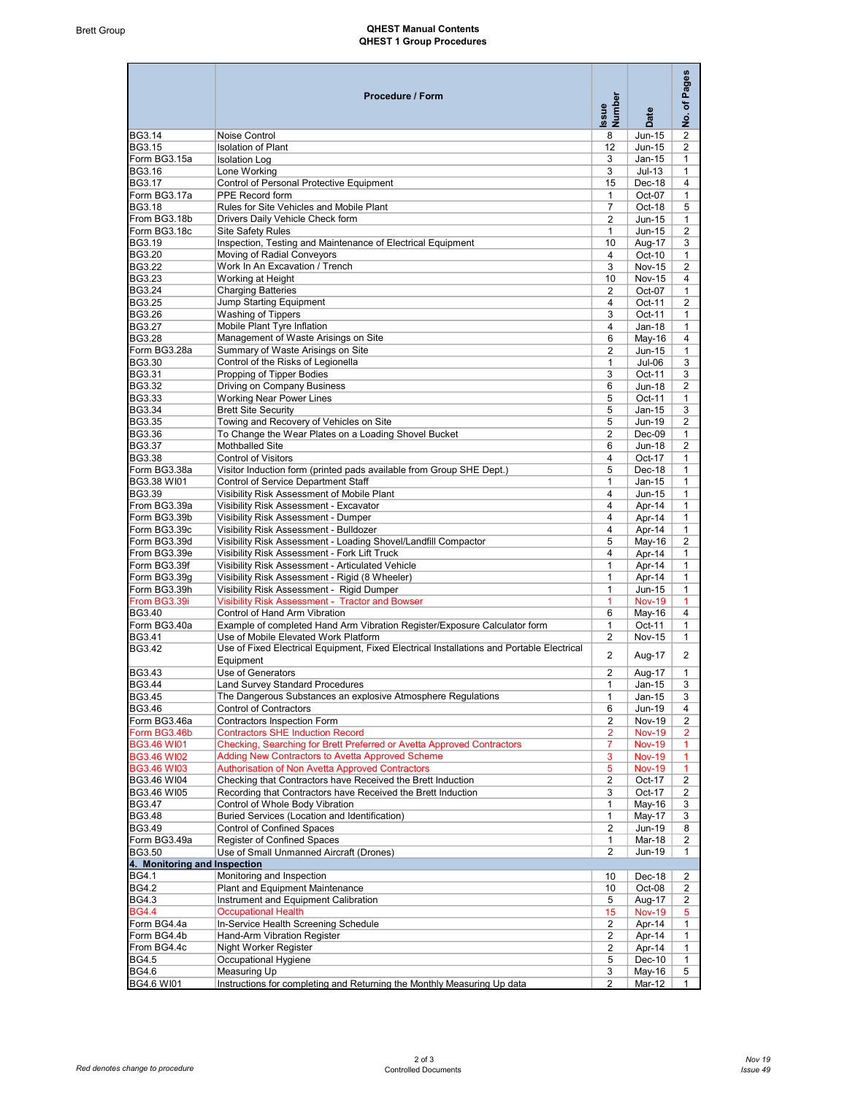## Brett Group **CHEST Manual Contents** QHEST 1 Group Procedures

|                              | Procedure / Form                                                                          | Issue<br>Number         | Date          | Pages<br>đ<br>$\frac{1}{2}$ |
|------------------------------|-------------------------------------------------------------------------------------------|-------------------------|---------------|-----------------------------|
| BG3.14                       | Noise Control                                                                             | 8                       | Jun-15        | 2                           |
| BG3.15                       | <b>Isolation of Plant</b>                                                                 | 12                      | Jun-15        | $\overline{2}$              |
| Form BG3.15a                 | <b>Isolation Log</b>                                                                      | 3                       | $Jan-15$      | $\mathbf{1}$                |
| BG3.16                       | Lone Working                                                                              | 3                       | $Jul-13$      | $\mathbf{1}$                |
| <b>BG3.17</b>                | Control of Personal Protective Equipment                                                  | 15                      | Dec-18        | 4                           |
| Form BG3.17a                 | PPE Record form                                                                           | $\mathbf{1}$            | Oct-07        | $\mathbf{1}$                |
| <b>BG3.18</b>                | Rules for Site Vehicles and Mobile Plant                                                  | $\overline{7}$          | Oct-18        | 5                           |
| From BG3.18b                 | Drivers Daily Vehicle Check form                                                          | 2                       | Jun-15        | $\mathbf{1}$                |
| Form BG3.18c                 | Site Safety Rules                                                                         | $\mathbf{1}$            | Jun-15        | $\overline{2}$              |
| BG3.19                       | Inspection, Testing and Maintenance of Electrical Equipment                               |                         |               |                             |
| <b>BG3.20</b>                | Moving of Radial Conveyors                                                                | 10<br>$\overline{4}$    | Aug-17        | 3                           |
| <b>BG3.22</b>                | Work In An Excavation / Trench                                                            |                         | Oct-10        | $\mathbf{1}$                |
| <b>BG3.23</b>                |                                                                                           | 3                       | <b>Nov-15</b> | 2                           |
| <b>BG3.24</b>                | Working at Height                                                                         | 10                      | <b>Nov-15</b> | $\overline{4}$              |
|                              | <b>Charging Batteries</b>                                                                 | $\overline{2}$          | Oct-07        | $\mathbf{1}$                |
| <b>BG3.25</b>                | Jump Starting Equipment                                                                   | $\overline{4}$          | Oct-11        | $\overline{c}$              |
| <b>BG3.26</b>                | <b>Washing of Tippers</b>                                                                 | 3                       | Oct-11        | $\mathbf{1}$                |
| <b>BG3.27</b>                | Mobile Plant Tyre Inflation                                                               | $\overline{4}$          | $Jan-18$      | $\mathbf{1}$                |
| <b>BG3.28</b>                | Management of Waste Arisings on Site                                                      | 6                       | May-16        | 4                           |
| Form BG3.28a                 | Summary of Waste Arisings on Site                                                         | $\overline{c}$          | Jun-15        | $\mathbf{1}$                |
| BG3.30                       | Control of the Risks of Legionella                                                        | $\mathbf{1}$            | $Jul-06$      | 3                           |
| BG3.31                       | Propping of Tipper Bodies                                                                 | 3                       | Oct-11        | 3                           |
| BG3.32                       | Driving on Company Business                                                               | 6                       | Jun-18        | 2                           |
| <b>BG3.33</b>                | <b>Working Near Power Lines</b>                                                           | 5                       | Oct-11        | $\mathbf{1}$                |
| BG3.34                       | <b>Brett Site Security</b>                                                                | 5                       | $Jan-15$      | 3                           |
| <b>BG3.35</b>                | Towing and Recovery of Vehicles on Site                                                   | 5                       | Jun-19        | 2                           |
| BG3.36                       | To Change the Wear Plates on a Loading Shovel Bucket                                      | $\overline{2}$          | $Dec-09$      | $\mathbf{1}$                |
| BG3.37                       | Mothballed Site                                                                           | 6                       | Jun-18        | 2                           |
| <b>BG3.38</b>                | <b>Control of Visitors</b>                                                                | 4                       | Oct-17        | $\mathbf{1}$                |
| Form BG3.38a                 | Visitor Induction form (printed pads available from Group SHE Dept.)                      | 5                       | Dec-18        | $\mathbf{1}$                |
| BG3.38 WI01                  | Control of Service Department Staff                                                       | $\mathbf{1}$            | $Jan-15$      | $\mathbf{1}$                |
| BG3.39                       | Visibility Risk Assessment of Mobile Plant                                                | 4                       | Jun-15        | $\mathbf{1}$                |
| From BG3.39a                 | Visibility Risk Assessment - Excavator                                                    | 4                       | Apr-14        | $\mathbf{1}$                |
| Form BG3.39b                 | Visibility Risk Assessment - Dumper                                                       | 4                       | Apr-14        | $\mathbf{1}$                |
| Form BG3.39c                 | Visibility Risk Assessment - Bulldozer                                                    | 4                       | Apr-14        | $\mathbf{1}$                |
| Form BG3.39d                 | Visibility Risk Assessment - Loading Shovel/Landfill Compactor                            | 5                       | May-16        | $\overline{2}$              |
| From BG3.39e                 | Visibility Risk Assessment - Fork Lift Truck                                              | 4                       | Apr-14        | $\mathbf{1}$                |
| Form BG3.39f                 | Visibility Risk Assessment - Articulated Vehicle                                          | $\mathbf{1}$            | Apr-14        | $\mathbf{1}$                |
| Form BG3.39g                 | Visibility Risk Assessment - Rigid (8 Wheeler)                                            | $\mathbf{1}$            | Apr-14        | $\mathbf{1}$                |
| Form BG3.39h                 | Visibility Risk Assessment - Rigid Dumper                                                 | $\mathbf{1}$            | Jun-15        | $\mathbf{1}$                |
| From BG3.39i                 | <b>Visibility Risk Assessment - Tractor and Bowser</b>                                    |                         |               |                             |
|                              |                                                                                           | $\overline{1}$          | <b>Nov-19</b> | $\mathbf{1}$                |
| <b>BG3.40</b>                | Control of Hand Arm Vibration                                                             | 6                       | May-16        | 4                           |
| Form BG3.40a                 | Example of completed Hand Arm Vibration Register/Exposure Calculator form                 | 1                       | Oct-11        | $\mathbf{1}$                |
| <b>BG3.41</b>                | Use of Mobile Elevated Work Platform                                                      | $\overline{2}$          | <b>Nov-15</b> | $\mathbf{1}$                |
| BG3.42                       | Use of Fixed Electrical Equipment, Fixed Electrical Installations and Portable Electrical | $\overline{2}$          | Aug-17        | $\overline{2}$              |
|                              | Equipment                                                                                 |                         |               |                             |
| BG3.43                       | Use of Generators                                                                         | $\overline{2}$          | Aug-17        | $\mathbf{1}$                |
| BG3.44                       | Land Survey Standard Procedures                                                           | 1                       | Jan-15        | 3                           |
| <b>BG3.45</b>                | The Dangerous Substances an explosive Atmosphere Regulations                              | $\mathbf{1}$            | Jan-15        | 3                           |
| <b>BG3.46</b>                | Control of Contractors                                                                    | 6                       | Jun-19        | 4                           |
| Form BG3.46a                 | Contractors Inspection Form                                                               | $\overline{2}$          | <b>Nov-19</b> | 2                           |
| Form BG3.46b                 | <b>Contractors SHE Induction Record</b>                                                   | $\overline{2}$          | <b>Nov-19</b> | 2                           |
| <b>BG3.46 WI01</b>           | Checking, Searching for Brett Preferred or Avetta Approved Contractors                    | 7                       | <b>Nov-19</b> |                             |
| <b>BG3.46 WI02</b>           | <b>Adding New Contractors to Avetta Approved Scheme</b>                                   | 3                       | <b>Nov-19</b> | $\overline{1}$              |
| <b>BG3.46 WI03</b>           | Authorisation of Non Avetta Approved Contractors                                          | 5                       | <b>Nov-19</b> | $\blacktriangleleft$        |
| BG3.46 WI04                  | Checking that Contractors have Received the Brett Induction                               | $\overline{2}$          | Oct-17        | 2                           |
| BG3.46 WI05                  | Recording that Contractors have Received the Brett Induction                              | 3                       | Oct-17        | $\overline{2}$              |
| <b>BG3.47</b>                | Control of Whole Body Vibration                                                           | 1                       | May-16        | 3                           |
| <b>BG3.48</b>                | Buried Services (Location and Identification)                                             | 1                       |               |                             |
| <b>BG3.49</b>                |                                                                                           |                         | May-17        | 3                           |
|                              | Control of Confined Spaces                                                                | $\overline{2}$          | Jun-19        | 8                           |
| Form BG3.49a                 | Register of Confined Spaces                                                               | $\mathbf{1}$            | Mar-18        | $\overline{\mathbf{c}}$     |
| BG3.50                       | Use of Small Unmanned Aircraft (Drones)                                                   | $\overline{2}$          | Jun-19        | $\mathbf{1}$                |
| 4. Monitoring and Inspection |                                                                                           |                         |               |                             |
| <b>BG4.1</b>                 | Monitoring and Inspection                                                                 | 10                      | Dec-18        | 2                           |
| <b>BG4.2</b>                 | Plant and Equipment Maintenance                                                           | 10                      | Oct-08        | 2                           |
| <b>BG4.3</b>                 | Instrument and Equipment Calibration                                                      | 5                       | Aug-17        | $\overline{2}$              |
| <b>BG4.4</b>                 | <b>Occupational Health</b>                                                                | 15                      | <b>Nov-19</b> | 5                           |
| Form BG4.4a                  | In-Service Health Screening Schedule                                                      | 2                       | Apr-14        | $\mathbf{1}$                |
| Form BG4.4b                  | Hand-Arm Vibration Register                                                               | $\overline{\mathbf{c}}$ | Apr-14        | $\mathbf{1}$                |
| From BG4.4c                  | Night Worker Register                                                                     | $\overline{c}$          | Apr-14        | $\mathbf{1}$                |
| <b>BG4.5</b>                 | Occupational Hygiene                                                                      | 5                       | Dec-10        | $\mathbf{1}$                |
| <b>BG4.6</b>                 | Measuring Up                                                                              | 3                       | May-16        | 5                           |
| <b>BG4.6 WI01</b>            | Instructions for completing and Returning the Monthly Measuring Up data                   | $\overline{2}$          | Mar-12        | $\mathbf{1}$                |
|                              |                                                                                           |                         |               |                             |